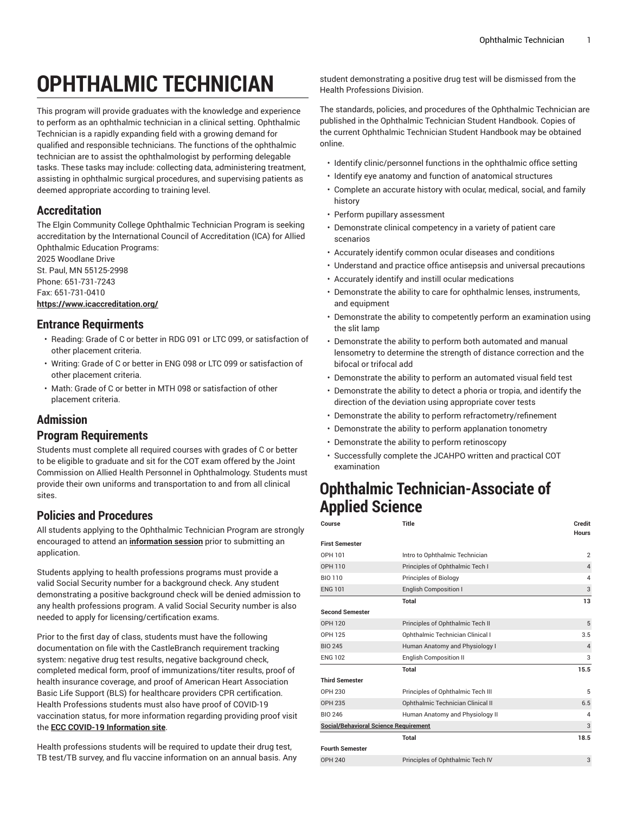# **OPHTHALMIC TECHNICIAN**

This program will provide graduates with the knowledge and experience to perform as an ophthalmic technician in a clinical setting. Ophthalmic Technician is a rapidly expanding field with a growing demand for qualified and responsible technicians. The functions of the ophthalmic technician are to assist the ophthalmologist by performing delegable tasks. These tasks may include: collecting data, administering treatment, assisting in ophthalmic surgical procedures, and supervising patients as deemed appropriate according to training level.

## **Accreditation**

The Elgin Community College Ophthalmic Technician Program is seeking accreditation by the International Council of Accreditation (ICA) for Allied Ophthalmic Education Programs:

2025 Woodlane Drive St. Paul, MN 55125-2998 Phone: 651-731-7243 Fax: 651-731-0410 **<https://www.icaccreditation.org/>**

## **Entrance Requirments**

- Reading: Grade of C or better in RDG 091 or LTC 099, or satisfaction of other placement criteria.
- Writing: Grade of C or better in ENG 098 or LTC 099 or satisfaction of other placement criteria.
- Math: Grade of C or better in MTH 098 or satisfaction of other placement criteria.

## **Admission**

## **Program Requirements**

Students must complete all required courses with grades of C or better to be eligible to graduate and sit for the COT exam offered by the Joint Commission on Allied Health Personnel in Ophthalmology. Students must provide their own uniforms and transportation to and from all clinical sites.

## **Policies and Procedures**

All students applying to the Ophthalmic Technician Program are strongly encouraged to attend an **[information session](https://elgin.edu/about-ecc/visiting-campus/)** prior to submitting an application.

Students applying to health professions programs must provide a valid Social Security number for a background check. Any student demonstrating a positive background check will be denied admission to any health professions program. A valid Social Security number is also needed to apply for licensing/certification exams.

Prior to the first day of class, students must have the following documentation on file with the CastleBranch requirement tracking system: negative drug test results, negative background check, completed medical form, proof of immunizations/titer results, proof of health insurance coverage, and proof of American Heart Association Basic Life Support (BLS) for healthcare providers CPR certification. Health Professions students must also have proof of COVID-19 vaccination status, for more information regarding providing proof visit the **ECC COVID-19 [Information](https://elgin.edu/life-at-ecc/covid19-information/) site**.

Health professions students will be required to update their drug test, TB test/TB survey, and flu vaccine information on an annual basis. Any student demonstrating a positive drug test will be dismissed from the Health Professions Division.

The standards, policies, and procedures of the Ophthalmic Technician are published in the Ophthalmic Technician Student Handbook. Copies of the current Ophthalmic Technician Student Handbook may be obtained online.

- Identify clinic/personnel functions in the ophthalmic office setting
- Identify eye anatomy and function of anatomical structures
- Complete an accurate history with ocular, medical, social, and family history
- Perform pupillary assessment
- Demonstrate clinical competency in a variety of patient care scenarios
- Accurately identify common ocular diseases and conditions
- Understand and practice office antisepsis and universal precautions
- Accurately identify and instill ocular medications
- Demonstrate the ability to care for ophthalmic lenses, instruments, and equipment
- Demonstrate the ability to competently perform an examination using the slit lamp
- Demonstrate the ability to perform both automated and manual lensometry to determine the strength of distance correction and the bifocal or trifocal add
- Demonstrate the ability to perform an automated visual field test
- Demonstrate the ability to detect a phoria or tropia, and identify the direction of the deviation using appropriate cover tests
- Demonstrate the ability to perform refractometry/refinement
- Demonstrate the ability to perform applanation tonometry
- Demonstrate the ability to perform retinoscopy
- Successfully complete the JCAHPO written and practical COT examination

## **Ophthalmic Technician-Associate of Applied Science**

| Course                                       | Title                             | Credit<br><b>Hours</b> |
|----------------------------------------------|-----------------------------------|------------------------|
| <b>First Semester</b>                        |                                   |                        |
| OPH 101                                      | Intro to Ophthalmic Technician    | $\overline{2}$         |
| OPH 110                                      | Principles of Ophthalmic Tech I   | $\overline{4}$         |
| <b>BIO 110</b>                               | Principles of Biology             | $\overline{4}$         |
| <b>ENG 101</b>                               | <b>English Composition I</b>      | 3                      |
|                                              | <b>Total</b>                      | 13                     |
| <b>Second Semester</b>                       |                                   |                        |
| OPH 120                                      | Principles of Ophthalmic Tech II  | 5                      |
| OPH 125                                      | Ophthalmic Technician Clinical I  | 3.5                    |
| <b>BIO 245</b>                               | Human Anatomy and Physiology I    | $\overline{4}$         |
| <b>ENG 102</b>                               | <b>English Composition II</b>     | 3                      |
|                                              | Total                             | 15.5                   |
| <b>Third Semester</b>                        |                                   |                        |
| OPH 230                                      | Principles of Ophthalmic Tech III | 5                      |
| <b>OPH 235</b>                               | Ophthalmic Technician Clinical II | 6.5                    |
| <b>BIO 246</b>                               | Human Anatomy and Physiology II   | 4                      |
| <b>Social/Behavioral Science Requirement</b> |                                   | 3                      |
|                                              | Total                             | 18.5                   |
| <b>Fourth Semester</b>                       |                                   |                        |
| <b>OPH 240</b>                               | Principles of Ophthalmic Tech IV  | 3                      |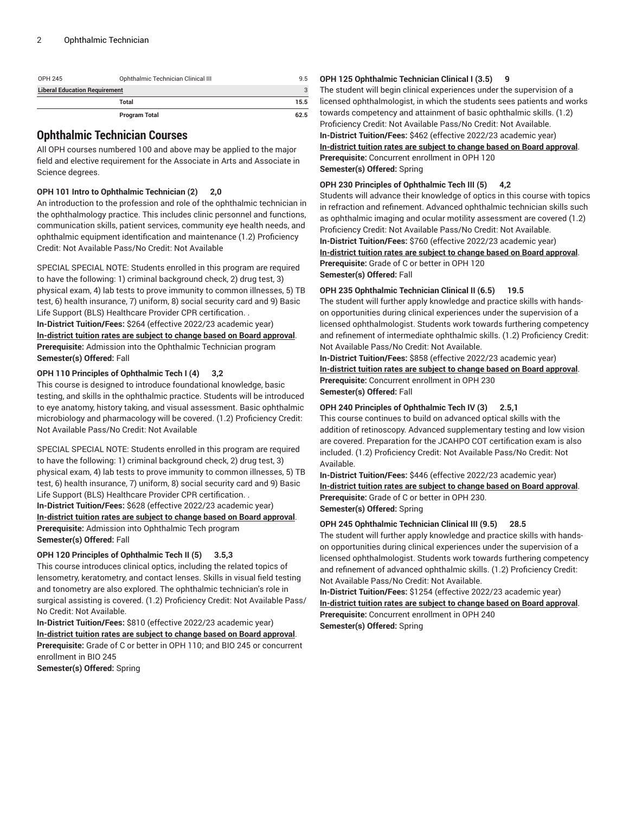|                                      | <b>Program Total</b>               | 62.5 |
|--------------------------------------|------------------------------------|------|
|                                      | Total                              | 15.5 |
| <b>Liberal Education Requirement</b> |                                    |      |
| OPH 245                              | Ophthalmic Technician Clinical III | 9.5  |

## **Ophthalmic Technician Courses**

All OPH courses numbered 100 and above may be applied to the major field and elective requirement for the Associate in Arts and Associate in Science degrees.

#### **OPH 101 Intro to Ophthalmic Technician (2) 2,0**

An introduction to the profession and role of the ophthalmic technician in the ophthalmology practice. This includes clinic personnel and functions, communication skills, patient services, community eye health needs, and ophthalmic equipment identification and maintenance (1.2) Proficiency Credit: Not Available Pass/No Credit: Not Available

SPECIAL SPECIAL NOTE: Students enrolled in this program are required to have the following: 1) criminal background check, 2) drug test, 3) physical exam, 4) lab tests to prove immunity to common illnesses, 5) TB test, 6) health insurance, 7) uniform, 8) social security card and 9) Basic Life Support (BLS) Healthcare Provider CPR certification. . **In-District Tuition/Fees:** \$264 (effective 2022/23 academic year) **[In-district](https://elgin.edu/pay-for-college/tuition-fees/) tuition rates are subject to change based on Board approval**. **Prerequisite:** Admission into the Ophthalmic Technician program **Semester(s) Offered:** Fall

#### **OPH 110 Principles of Ophthalmic Tech I (4) 3,2**

This course is designed to introduce foundational knowledge, basic testing, and skills in the ophthalmic practice. Students will be introduced to eye anatomy, history taking, and visual assessment. Basic ophthalmic microbiology and pharmacology will be covered. (1.2) Proficiency Credit: Not Available Pass/No Credit: Not Available

SPECIAL SPECIAL NOTE: Students enrolled in this program are required to have the following: 1) criminal background check, 2) drug test, 3) physical exam, 4) lab tests to prove immunity to common illnesses, 5) TB test, 6) health insurance, 7) uniform, 8) social security card and 9) Basic Life Support (BLS) Healthcare Provider CPR certification. . **In-District Tuition/Fees:** \$628 (effective 2022/23 academic year) **[In-district](https://elgin.edu/pay-for-college/tuition-fees/) tuition rates are subject to change based on Board approval**. **Prerequisite:** Admission into Ophthalmic Tech program **Semester(s) Offered:** Fall

#### **OPH 120 Principles of Ophthalmic Tech II (5) 3.5,3**

This course introduces clinical optics, including the related topics of lensometry, keratometry, and contact lenses. Skills in visual field testing and tonometry are also explored. The ophthalmic technician's role in surgical assisting is covered. (1.2) Proficiency Credit: Not Available Pass/ No Credit: Not Available.

**In-District Tuition/Fees:** \$810 (effective 2022/23 academic year) **[In-district](https://elgin.edu/pay-for-college/tuition-fees/) tuition rates are subject to change based on Board approval**. **Prerequisite:** Grade of C or better in OPH 110; and BIO 245 or concurrent enrollment in BIO 245

#### **Semester(s) Offered:** Spring

#### **OPH 125 Ophthalmic Technician Clinical I (3.5) 9**

The student will begin clinical experiences under the supervision of a licensed ophthalmologist, in which the students sees patients and works towards competency and attainment of basic ophthalmic skills. (1.2) Proficiency Credit: Not Available Pass/No Credit: Not Available. **In-District Tuition/Fees:** \$462 (effective 2022/23 academic year) **[In-district](https://elgin.edu/pay-for-college/tuition-fees/) tuition rates are subject to change based on Board approval**. **Prerequisite:** Concurrent enrollment in OPH 120 **Semester(s) Offered:** Spring

#### **OPH 230 Principles of Ophthalmic Tech III (5) 4,2**

Students will advance their knowledge of optics in this course with topics in refraction and refinement. Advanced ophthalmic technician skills such as ophthalmic imaging and ocular motility assessment are covered (1.2) Proficiency Credit: Not Available Pass/No Credit: Not Available. **In-District Tuition/Fees:** \$760 (effective 2022/23 academic year) **[In-district](https://elgin.edu/pay-for-college/tuition-fees/) tuition rates are subject to change based on Board approval**.

**Prerequisite:** Grade of C or better in OPH 120 **Semester(s) Offered:** Fall

#### **OPH 235 Ophthalmic Technician Clinical II (6.5) 19.5**

The student will further apply knowledge and practice skills with handson opportunities during clinical experiences under the supervision of a licensed ophthalmologist. Students work towards furthering competency and refinement of intermediate ophthalmic skills. (1.2) Proficiency Credit: Not Available Pass/No Credit: Not Available.

**In-District Tuition/Fees:** \$858 (effective 2022/23 academic year) **[In-district](https://elgin.edu/pay-for-college/tuition-fees/) tuition rates are subject to change based on Board approval**. **Prerequisite:** Concurrent enrollment in OPH 230 **Semester(s) Offered:** Fall

#### **OPH 240 Principles of Ophthalmic Tech IV (3) 2.5,1**

This course continues to build on advanced optical skills with the addition of retinoscopy. Advanced supplementary testing and low vision are covered. Preparation for the JCAHPO COT certification exam is also included. (1.2) Proficiency Credit: Not Available Pass/No Credit: Not Available.

**In-District Tuition/Fees:** \$446 (effective 2022/23 academic year) **[In-district](https://elgin.edu/pay-for-college/tuition-fees/) tuition rates are subject to change based on Board approval**. **Prerequisite:** Grade of C or better in OPH 230. **Semester(s) Offered:** Spring

#### **OPH 245 Ophthalmic Technician Clinical III (9.5) 28.5**

The student will further apply knowledge and practice skills with handson opportunities during clinical experiences under the supervision of a licensed ophthalmologist. Students work towards furthering competency and refinement of advanced ophthalmic skills. (1.2) Proficiency Credit: Not Available Pass/No Credit: Not Available.

**In-District Tuition/Fees:** \$1254 (effective 2022/23 academic year) **[In-district](https://elgin.edu/pay-for-college/tuition-fees/) tuition rates are subject to change based on Board approval**. **Prerequisite:** Concurrent enrollment in OPH 240 **Semester(s) Offered:** Spring